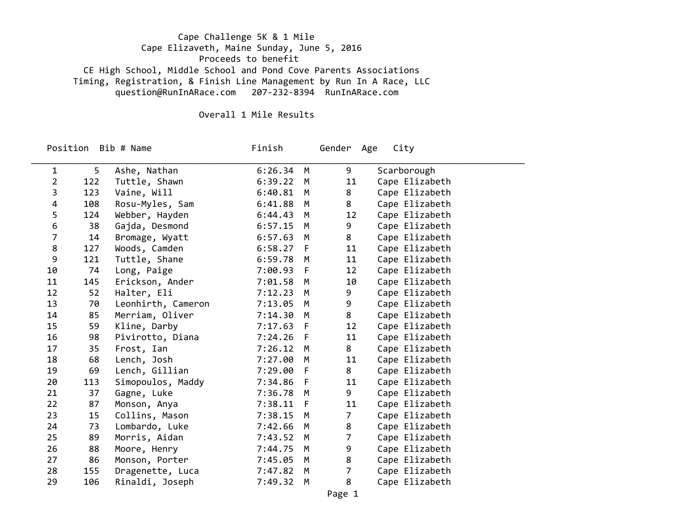## Cape Challenge 5K & 1 Mile Cape Elizaveth, Maine Sunday, June 5, 2016 Proceeds to benefit CE High School, Middle School and Pond Cove Parents Associations Timing, Registration, & Finish Line Management by Run In A Race, LLC question@RunInARace.com 207‐232‐8394 RunInARace.com

## Overall 1 Mile Results

Position

Finish Gender Age City

| 1  | 5   | Ashe, Nathan       | 6:26.34   | M   | 9              | Scarborough    |
|----|-----|--------------------|-----------|-----|----------------|----------------|
| 2  | 122 | Tuttle, Shawn      | 6:39.22   | M   | 11             | Cape Elizabeth |
| 3  | 123 | Vaine, Will        | 6:40.81   | M   | 8              | Cape Elizabeth |
| 4  | 108 | Rosu-Myles, Sam    | 6:41.88   | M   | 8              | Cape Elizabeth |
| 5  | 124 | Webber, Hayden     | 6:44.43   | M   | 12             | Cape Elizabeth |
| 6  | 38  | Gajda, Desmond     | 6:57.15   | M   | 9              | Cape Elizabeth |
| 7  | 14  | Bromage, Wyatt     | 6:57.63   | M   | 8              | Cape Elizabeth |
| 8  | 127 | Woods, Camden      | 6:58.27   | - F | 11             | Cape Elizabeth |
| 9  | 121 | Tuttle, Shane      | 6:59.78   | M   | 11             | Cape Elizabeth |
| 10 | 74  | Long, Paige        | 7:00.93   | - F | 12             | Cape Elizabeth |
| 11 | 145 | Erickson, Ander    | 7:01.58   | M   | 10             | Cape Elizabeth |
| 12 | 52  | Halter, Eli        | 7:12.23   | M   | 9              | Cape Elizabeth |
| 13 | 70  | Leonhirth, Cameron | 7:13.05   | M   | 9              | Cape Elizabeth |
| 14 | 85  | Merriam, Oliver    | 7:14.30   | M   | 8              | Cape Elizabeth |
| 15 | 59  | Kline, Darby       | 7:17.63 F |     | 12             | Cape Elizabeth |
| 16 | 98  | Pivirotto, Diana   | 7:24.26   | -F  | 11             | Cape Elizabeth |
| 17 | 35  | Frost, Ian         | 7:26.12   | M   | 8              | Cape Elizabeth |
| 18 | 68  | Lench, Josh        | 7:27.00   | M   | 11             | Cape Elizabeth |
| 19 | 69  | Lench, Gillian     | 7:29.00 F |     | 8              | Cape Elizabeth |
| 20 | 113 | Simopoulos, Maddy  | 7:34.86   | F   | 11             | Cape Elizabeth |
| 21 | 37  | Gagne, Luke        | 7:36.78   | M   | 9              | Cape Elizabeth |
| 22 | 87  | Monson, Anya       | 7:38.11   | - F | 11             | Cape Elizabeth |
| 23 | 15  | Collins, Mason     | 7:38.15   | M   | $\overline{7}$ | Cape Elizabeth |
| 24 | 73  | Lombardo, Luke     | 7:42.66   | M   | 8              | Cape Elizabeth |
| 25 | 89  | Morris, Aidan      | 7:43.52   | M   | $\overline{7}$ | Cape Elizabeth |
| 26 | 88  | Moore, Henry       | 7:44.75   | M   | 9              | Cape Elizabeth |
| 27 | 86  | Monson, Porter     | 7:45.05   | M   | 8              | Cape Elizabeth |
| 28 | 155 | Dragenette, Luca   | 7:47.82   | M   | $\overline{7}$ | Cape Elizabeth |
| 29 | 106 | Rinaldi, Joseph    | 7:49.32   | M   | 8              | Cape Elizabeth |
|    |     |                    |           |     |                |                |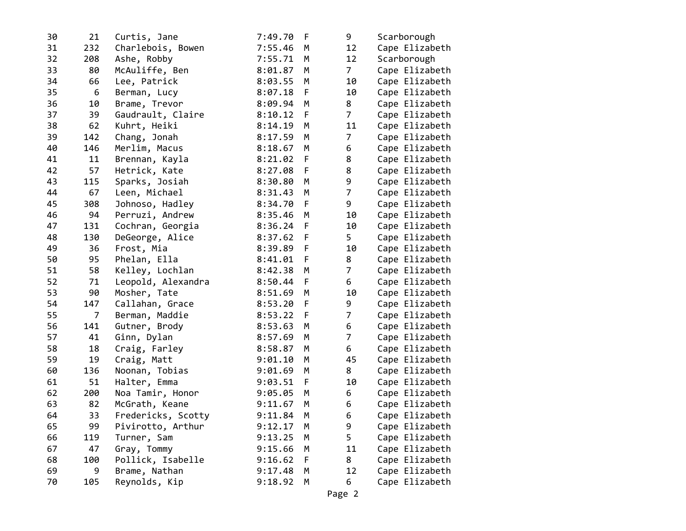| 30 | 21               | Curtis, Jane       | 7:49.70 | F | 9              | Scarborough    |
|----|------------------|--------------------|---------|---|----------------|----------------|
| 31 | 232              | Charlebois, Bowen  | 7:55.46 | M | 12             | Cape Elizabeth |
| 32 | 208              | Ashe, Robby        | 7:55.71 | М | 12             | Scarborough    |
| 33 | 80               | McAuliffe, Ben     | 8:01.87 | М | $\overline{7}$ | Cape Elizabeth |
| 34 | 66               | Lee, Patrick       | 8:03.55 | М | 10             | Cape Elizabeth |
| 35 | $\boldsymbol{6}$ | Berman, Lucy       | 8:07.18 | F | 10             | Cape Elizabeth |
| 36 | 10               | Brame, Trevor      | 8:09.94 | М | 8              | Cape Elizabeth |
| 37 | 39               | Gaudrault, Claire  | 8:10.12 | F | 7              | Cape Elizabeth |
| 38 | 62               | Kuhrt, Heiki       | 8:14.19 | M | 11             | Cape Elizabeth |
| 39 | 142              | Chang, Jonah       | 8:17.59 | М | $\overline{7}$ | Cape Elizabeth |
| 40 | 146              | Merlim, Macus      | 8:18.67 | M | 6              | Cape Elizabeth |
| 41 | 11               | Brennan, Kayla     | 8:21.02 | F | 8              | Cape Elizabeth |
| 42 | 57               | Hetrick, Kate      | 8:27.08 | F | 8              | Cape Elizabeth |
| 43 | 115              | Sparks, Josiah     | 8:30.80 | М | 9              | Cape Elizabeth |
| 44 | 67               | Leen, Michael      | 8:31.43 | М | $\overline{7}$ | Cape Elizabeth |
| 45 | 308              | Johnoso, Hadley    | 8:34.70 | F | 9              | Cape Elizabeth |
| 46 | 94               | Perruzi, Andrew    | 8:35.46 | M | 10             | Cape Elizabeth |
| 47 | 131              | Cochran, Georgia   | 8:36.24 | F | 10             | Cape Elizabeth |
| 48 | 130              | DeGeorge, Alice    | 8:37.62 | F | 5              | Cape Elizabeth |
| 49 | 36               | Frost, Mia         | 8:39.89 | F | 10             | Cape Elizabeth |
| 50 | 95               | Phelan, Ella       | 8:41.01 | F | 8              | Cape Elizabeth |
| 51 | 58               | Kelley, Lochlan    | 8:42.38 | M | $\overline{7}$ | Cape Elizabeth |
| 52 | 71               | Leopold, Alexandra | 8:50.44 | F | 6              | Cape Elizabeth |
| 53 | 90               | Mosher, Tate       | 8:51.69 | M | 10             | Cape Elizabeth |
| 54 | 147              | Callahan, Grace    | 8:53.20 | F | 9              | Cape Elizabeth |
| 55 | 7                | Berman, Maddie     | 8:53.22 | F | 7              | Cape Elizabeth |
| 56 | 141              | Gutner, Brody      | 8:53.63 | М | 6              | Cape Elizabeth |
| 57 | 41               | Ginn, Dylan        | 8:57.69 | М | $\overline{7}$ | Cape Elizabeth |
| 58 | 18               | Craig, Farley      | 8:58.87 | M | 6              | Cape Elizabeth |
| 59 | 19               | Craig, Matt        | 9:01.10 | М | 45             | Cape Elizabeth |
| 60 | 136              | Noonan, Tobias     | 9:01.69 | M | 8              | Cape Elizabeth |
| 61 | 51               | Halter, Emma       | 9:03.51 | F | 10             | Cape Elizabeth |
| 62 | 200              | Noa Tamir, Honor   | 9:05.05 | M | 6              | Cape Elizabeth |
| 63 | 82               | McGrath, Keane     | 9:11.67 | М | 6              | Cape Elizabeth |
| 64 | 33               | Fredericks, Scotty | 9:11.84 | M | 6              | Cape Elizabeth |
| 65 | 99               | Pivirotto, Arthur  | 9:12.17 | М | 9              | Cape Elizabeth |
| 66 | 119              | Turner, Sam        | 9:13.25 | М | 5              | Cape Elizabeth |
| 67 | 47               | Gray, Tommy        | 9:15.66 | M | 11             | Cape Elizabeth |
| 68 | 100              | Pollick, Isabelle  | 9:16.62 | F | 8              | Cape Elizabeth |
| 69 | 9                | Brame, Nathan      | 9:17.48 | М | 12             | Cape Elizabeth |
| 70 | 105              | Reynolds, Kip      | 9:18.92 | М | 6              | Cape Elizabeth |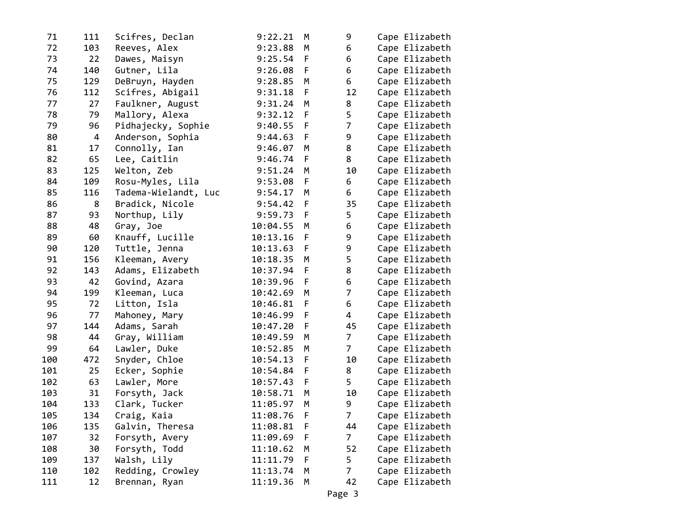| 71  | 111 | Scifres, Declan      | 9:22.21  | M  | 9              | Cape Elizabeth |
|-----|-----|----------------------|----------|----|----------------|----------------|
| 72  | 103 | Reeves, Alex         | 9:23.88  | М  | 6              | Cape Elizabeth |
| 73  | 22  | Dawes, Maisyn        | 9:25.54  | F  | 6              | Cape Elizabeth |
| 74  | 140 | Gutner, Lila         | 9:26.08  | F  | 6              | Cape Elizabeth |
| 75  | 129 | DeBruyn, Hayden      | 9:28.85  | M  | 6              | Cape Elizabeth |
| 76  | 112 | Scifres, Abigail     | 9:31.18  | F  | 12             | Cape Elizabeth |
| 77  | 27  | Faulkner, August     | 9:31.24  | M  | 8              | Cape Elizabeth |
| 78  | 79  | Mallory, Alexa       | 9:32.12  | F  | 5              | Cape Elizabeth |
| 79  | 96  | Pidhajecky, Sophie   | 9:40.55  | F  | $\overline{7}$ | Cape Elizabeth |
| 80  | 4   | Anderson, Sophia     | 9:44.63  | F  | 9              | Cape Elizabeth |
| 81  | 17  | Connolly, Ian        | 9:46.07  | M  | 8              | Cape Elizabeth |
| 82  | 65  | Lee, Caitlin         | 9:46.74  | F  | 8              | Cape Elizabeth |
| 83  | 125 | Welton, Zeb          | 9:51.24  | М  | 10             | Cape Elizabeth |
| 84  | 109 | Rosu-Myles, Lila     | 9:53.08  | F  | 6              | Cape Elizabeth |
| 85  | 116 | Tadema-Wielandt, Luc | 9:54.17  | М  | 6              | Cape Elizabeth |
| 86  | 8   | Bradick, Nicole      | 9:54.42  | F  | 35             | Cape Elizabeth |
| 87  | 93  | Northup, Lily        | 9:59.73  | F  | 5              | Cape Elizabeth |
| 88  | 48  | Gray, Joe            | 10:04.55 | М  | 6              | Cape Elizabeth |
| 89  | 60  | Knauff, Lucille      | 10:13.16 | F. | 9              | Cape Elizabeth |
| 90  | 120 | Tuttle, Jenna        | 10:13.63 | F  | 9              | Cape Elizabeth |
| 91  | 156 | Kleeman, Avery       | 10:18.35 | M  | 5              | Cape Elizabeth |
| 92  | 143 | Adams, Elizabeth     | 10:37.94 | F  | 8              | Cape Elizabeth |
| 93  | 42  | Govind, Azara        | 10:39.96 | F  | 6              | Cape Elizabeth |
| 94  | 199 | Kleeman, Luca        | 10:42.69 | M  | $\overline{7}$ | Cape Elizabeth |
| 95  | 72  | Litton, Isla         | 10:46.81 | F  | 6              | Cape Elizabeth |
| 96  | 77  | Mahoney, Mary        | 10:46.99 | F  | 4              | Cape Elizabeth |
| 97  | 144 | Adams, Sarah         | 10:47.20 | F  | 45             | Cape Elizabeth |
| 98  | 44  | Gray, William        | 10:49.59 | М  | $\overline{7}$ | Cape Elizabeth |
| 99  | 64  | Lawler, Duke         | 10:52.85 | M  | $\overline{7}$ | Cape Elizabeth |
| 100 | 472 | Snyder, Chloe        | 10:54.13 | F  | 10             | Cape Elizabeth |
| 101 | 25  | Ecker, Sophie        | 10:54.84 | F  | 8              | Cape Elizabeth |
| 102 | 63  | Lawler, More         | 10:57.43 | F  | 5              | Cape Elizabeth |
| 103 | 31  | Forsyth, Jack        | 10:58.71 | М  | 10             | Cape Elizabeth |
| 104 | 133 | Clark, Tucker        | 11:05.97 | М  | 9              | Cape Elizabeth |
| 105 | 134 | Craig, Kaia          | 11:08.76 | F  | $\overline{7}$ | Cape Elizabeth |
| 106 | 135 | Galvin, Theresa      | 11:08.81 | F  | 44             | Cape Elizabeth |
| 107 | 32  | Forsyth, Avery       | 11:09.69 | F  | 7              | Cape Elizabeth |
| 108 | 30  | Forsyth, Todd        | 11:10.62 | M  | 52             | Cape Elizabeth |
| 109 | 137 | Walsh, Lily          | 11:11.79 | F  | 5              | Cape Elizabeth |
| 110 | 102 | Redding, Crowley     | 11:13.74 | М  | 7              | Cape Elizabeth |
| 111 | 12  | Brennan, Ryan        | 11:19.36 | М  | 42             | Cape Elizabeth |
|     |     |                      |          |    |                |                |